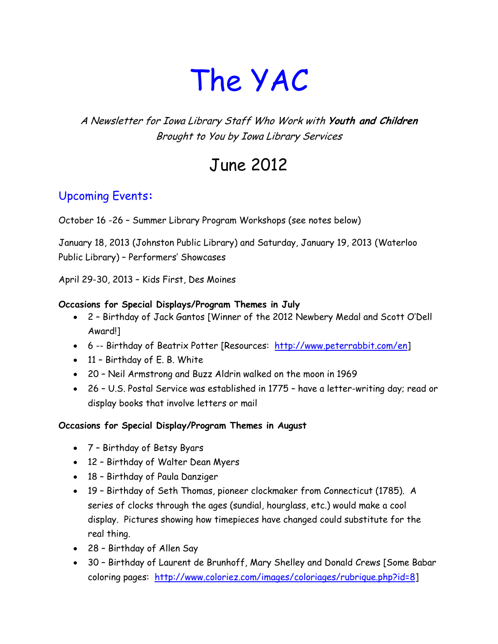# The YAC

#### A Newsletter for Iowa Library Staff Who Work with **Youth and Children** Brought to You by Iowa Library Services

# June 2012

#### Upcoming Events**:**

October 16 -26 – Summer Library Program Workshops (see notes below)

January 18, 2013 (Johnston Public Library) and Saturday, January 19, 2013 (Waterloo Public Library) – Performers' Showcases

April 29-30, 2013 – Kids First, Des Moines

#### **Occasions for Special Displays/Program Themes in July**

- 2 Birthday of Jack Gantos [Winner of the 2012 Newbery Medal and Scott O'Dell Award!]
- 6 -- Birthday of Beatrix Potter [Resources: [http://www.peterrabbit.com/en\]](http://www.peterrabbit.com/en)
- 11 Birthday of E. B. White
- 20 Neil Armstrong and Buzz Aldrin walked on the moon in 1969
- 26 U.S. Postal Service was established in 1775 have a letter-writing day; read or display books that involve letters or mail

#### **Occasions for Special Display/Program Themes in August**

- 7 Birthday of Betsy Byars
- 12 Birthday of Walter Dean Myers
- 18 Birthday of Paula Danziger
- 19 Birthday of Seth Thomas, pioneer clockmaker from Connecticut (1785). A series of clocks through the ages (sundial, hourglass, etc.) would make a cool display. Pictures showing how timepieces have changed could substitute for the real thing.
- 28 Birthday of Allen Say
- 30 Birthday of Laurent de Brunhoff, Mary Shelley and Donald Crews [Some Babar coloring pages: [http://www.coloriez.com/images/coloriages/rubrique.php?id=8\]](http://www.coloriez.com/images/coloriages/rubrique.php?id=8)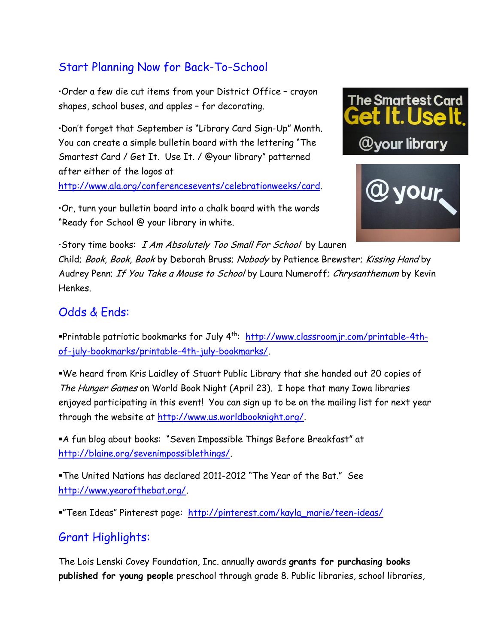## Start Planning Now for Back-To-School

Order a few die cut items from your District Office – crayon shapes, school buses, and apples – for decorating.

Don't forget that September is "Library Card Sign-Up" Month. You can create a simple bulletin board with the lettering "The Smartest Card / Get It. Use It. / @your library" patterned after either of the logos at

[http://www.ala.org/conferencesevents/celebrationweeks/card.](http://www.ala.org/conferencesevents/celebrationweeks/card)

Or, turn your bulletin board into a chalk board with the words "Ready for School @ your library in white.





Story time books: I Am Absolutely Too Small For School by Lauren Child; Book, Book, Book by Deborah Bruss; Nobody by Patience Brewster; Kissing Hand by Audrey Penn; If You Take a Mouse to School by Laura Numeroff; Chrysanthemum by Kevin Henkes.

#### Odds & Ends:

Printable patriotic bookmarks for July 4<sup>th</sup>: <u>http://www.classroomjr.com/printable-4th-</u> [of-july-bookmarks/printable-4th-july-bookmarks/.](http://www.classroomjr.com/printable-4th-of-july-bookmarks/printable-4th-july-bookmarks/)

We heard from Kris Laidley of Stuart Public Library that she handed out 20 copies of The Hunger Games on World Book Night (April 23). I hope that many Iowa libraries enjoyed participating in this event! You can sign up to be on the mailing list for next year through the website at [http://www.us.worldbooknight.org/.](http://www.us.worldbooknight.org/)

A fun blog about books: "Seven Impossible Things Before Breakfast" at [http://blaine.org/sevenimpossiblethings/.](http://blaine.org/sevenimpossiblethings/)

The United Nations has declared 2011-2012 "The Year of the Bat." See [http://www.yearofthebat.org/.](http://www.yearofthebat.org/)

"Teen Ideas" Pinterest page: [http://pinterest.com/kayla\\_marie/teen-ideas/](http://pinterest.com/kayla_marie/teen-ideas/)

#### Grant Highlights:

The Lois Lenski Covey Foundation, Inc. annually awards **grants for purchasing books published for young people** preschool through grade 8. Public libraries, school libraries,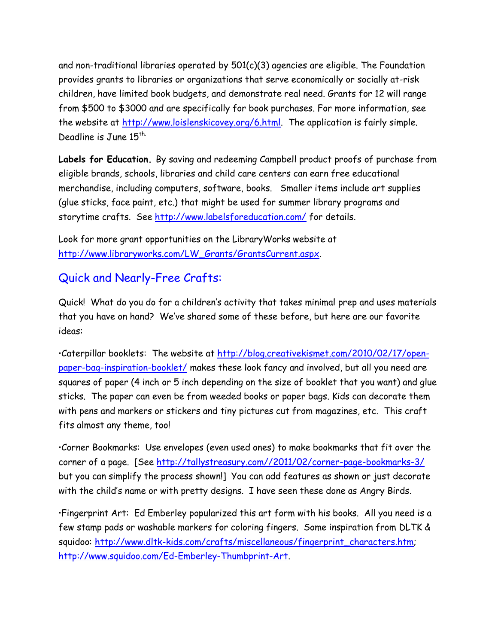and non-traditional libraries operated by 501(c)(3) agencies are eligible. The Foundation provides grants to libraries or organizations that serve economically or socially at-risk children, have limited book budgets, and demonstrate real need. Grants for 12 will range from \$500 to \$3000 and are specifically for book purchases. For more information, see the website at [http://www.loislenskicovey.org/6.html.](http://www.loislenskicovey.org/6.html) The application is fairly simple. Deadline is June  $15<sup>th</sup>$ .

**Labels for Education.** By saving and redeeming Campbell product proofs of purchase from eligible brands, schools, libraries and child care centers can earn free educational merchandise, including computers, software, books. Smaller items include art supplies (glue sticks, face paint, etc.) that might be used for summer library programs and storytime crafts. See<http://www.labelsforeducation.com/> for details.

Look for more grant opportunities on the LibraryWorks website at [http://www.libraryworks.com/LW\\_Grants/GrantsCurrent.aspx.](http://www.libraryworks.com/LW_Grants/GrantsCurrent.aspx)

#### Quick and Nearly-Free Crafts:

Quick! What do you do for a children's activity that takes minimal prep and uses materials that you have on hand? We've shared some of these before, but here are our favorite ideas:

Caterpillar booklets: The website at [http://blog.creativekismet.com/2010/02/17/open](http://blog.creativekismet.com/2010/02/17/open-paper-bag-inspiration-booklet/)[paper-bag-inspiration-booklet/](http://blog.creativekismet.com/2010/02/17/open-paper-bag-inspiration-booklet/) makes these look fancy and involved, but all you need are squares of paper (4 inch or 5 inch depending on the size of booklet that you want) and glue sticks. The paper can even be from weeded books or paper bags. Kids can decorate them with pens and markers or stickers and tiny pictures cut from magazines, etc. This craft fits almost any theme, too!

Corner Bookmarks: Use envelopes (even used ones) to make bookmarks that fit over the corner of a page. [See [http://tallystreasury.com//2011/02/corner-page-bookmarks-3/](http://tallystreasury.com/2011/02/corner-page-bookmarks-3/) but you can simplify the process shown!] You can add features as shown or just decorate with the child's name or with pretty designs. I have seen these done as Angry Birds.

Fingerprint Art: Ed Emberley popularized this art form with his books. All you need is a few stamp pads or washable markers for coloring fingers. Some inspiration from DLTK & squidoo: [http://www.dltk-kids.com/crafts/miscellaneous/fingerprint\\_characters.htm;](http://www.dltk-kids.com/crafts/miscellaneous/fingerprint_characters.htm) [http://www.squidoo.com/Ed-Emberley-Thumbprint-Art.](http://www.squidoo.com/Ed-Emberley-Thumbprint-Art)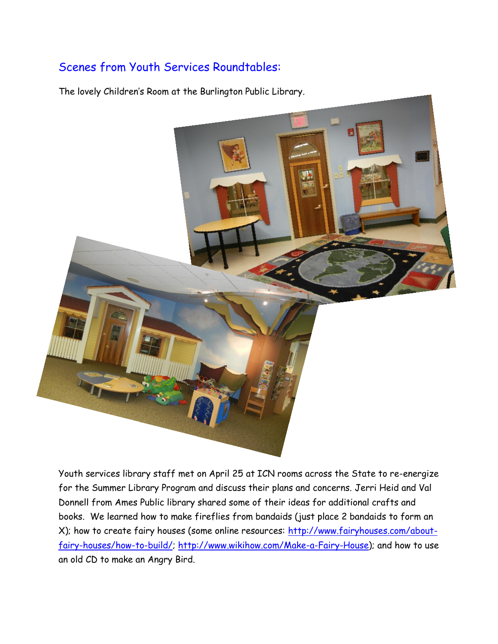## Scenes from Youth Services Roundtables:

The lovely Children's Room at the Burlington Public Library.



Youth services library staff met on April 25 at ICN rooms across the State to re-energize for the Summer Library Program and discuss their plans and concerns. Jerri Heid and Val Donnell from Ames Public library shared some of their ideas for additional crafts and books. We learned how to make fireflies from bandaids (just place 2 bandaids to form an X); how to create fairy houses (some online resources: [http://www.fairyhouses.com/about](http://www.fairyhouses.com/about-fairy-houses/how-to-build/)[fairy-houses/how-to-build/;](http://www.fairyhouses.com/about-fairy-houses/how-to-build/) [http://www.wikihow.com/Make-a-Fairy-House\)](http://www.wikihow.com/Make-a-Fairy-House); and how to use an old CD to make an Angry Bird.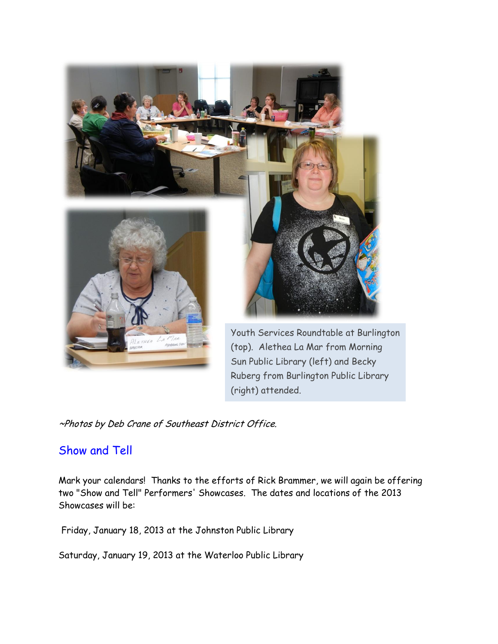

Ruberg from Burlington Public Library (right) attended.

~Photos by Deb Crane of Southeast District Office.

#### Show and Tell

Mark your calendars! Thanks to the efforts of Rick Brammer, we will again be offering two "Show and Tell" Performers' Showcases. The dates and locations of the 2013 Showcases will be:

Friday, January 18, 2013 at the Johnston Public Library

Saturday, January 19, 2013 at the Waterloo Public Library